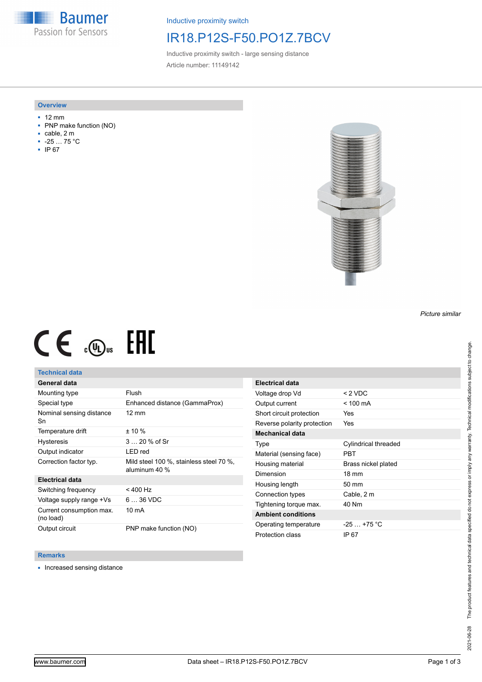**Baumer** Passion for Sensors

Inductive proximity switch

## IR18.P12S-F50.PO1Z.7BCV

Inductive proximity switch - large sensing distance Article number: 11149142

### **Overview**

- 12 mm
- PNP make function (NO)
- cable, 2 m
- -25 … 75 °C
- IP 67



# $CE \mathcal{L}$  (Dus FHI

## **Technical data**

## **General data**

| Mounting type                         | Flush                                                    |
|---------------------------------------|----------------------------------------------------------|
| Special type                          | Enhanced distance (GammaProx)                            |
| Nominal sensing distance<br>Sn        | $12 \text{ mm}$                                          |
| Temperature drift                     | $± 10 \%$                                                |
| <b>Hysteresis</b>                     | 3  20 % of Sr                                            |
| Output indicator                      | LED red                                                  |
| Correction factor typ.                | Mild steel 100 %, stainless steel 70 %,<br>aluminum 40 % |
| <b>Electrical data</b>                |                                                          |
| Switching frequency                   | < 400 Hz                                                 |
| Voltage supply range +Vs              | $636$ VDC                                                |
| Current consumption max.<br>(no load) | 10 mA                                                    |
| Output circuit                        | PNP make function (NO)                                   |

| Electrical data             |                      |
|-----------------------------|----------------------|
| Voltage drop Vd             | $< 2$ VDC            |
| Output current              | $< 100 \text{ mA}$   |
| Short circuit protection    | Yes                  |
| Reverse polarity protection | <b>Yes</b>           |
| Mechanical data             |                      |
| Type                        | Cylindrical threaded |
| Material (sensing face)     | PRT                  |
| Housing material            | Brass nickel plated  |
| Dimension                   | $18 \text{ mm}$      |
| Housing length              | $50 \text{ mm}$      |
| Connection types            | Cable, 2 m           |
| Tightening torque max.      | 40 Nm                |
| <b>Ambient conditions</b>   |                      |
| Operating temperature       | $-25$ $+75$ °C       |
| Protection class            | IP 67                |
|                             |                      |

### **Remarks**

■ Increased sensing distance

The product features and technical data specified do not express or imply any warranty. Technical modifications subject to change. 2021-06-28 The product features and technical data specified do not express or imply any warranty. Technical modifications subject to change. 2021-06-28

*Picture similar*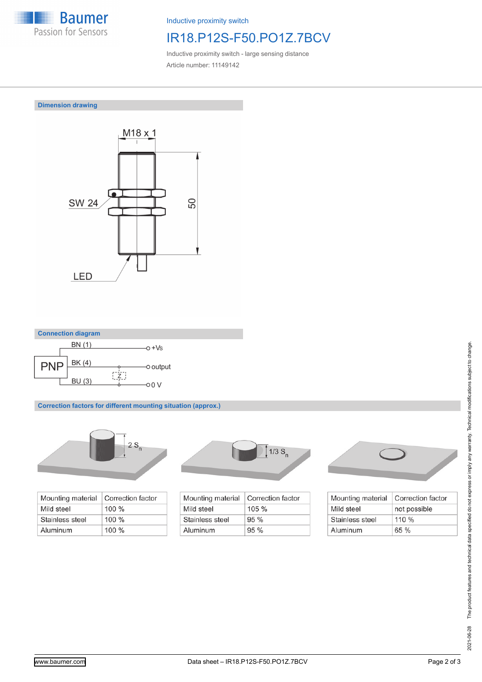

Inductive proximity switch

# IR18.P12S-F50.PO1Z.7BCV

Inductive proximity switch - large sensing distance Article number: 11149142

**Dimension drawing**





**Correction factors for different mounting situation (approx.)**



| Mounting material | Correction factor |
|-------------------|-------------------|
| Mild steel        | $100 \%$          |
| Stainless steel   | $100\%$           |
| Aluminum          | $100\%$           |



| Mounting material | Correction factor |
|-------------------|-------------------|
| Mild steel        | $105 \%$          |
| Stainless steel   | $95\%$            |
| Aluminum          | 95%               |



| Mounting material | <b>Correction factor</b> |
|-------------------|--------------------------|
| Mild steel        | not possible             |
| Stainless steel   | 110%                     |
| Aluminum          | 65%                      |